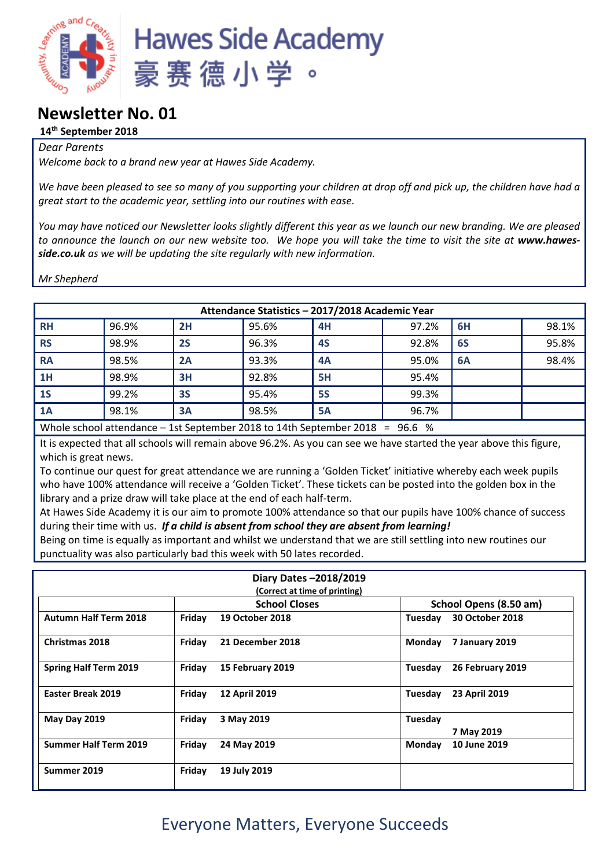

### **Newsletter No. 01**

#### **14th September 2018**

#### *Dear Parents*

*Welcome back to a brand new year at Hawes Side Academy.*

*We have been pleased to see so many of you supporting your children at drop off and pick up, the children have had a great start to the academic year, settling into our routines with ease.*

*You may have noticed our Newsletter looks slightly different this year as we launch our new branding. We are pleased*  to announce the launch on our new website too. We hope you will take the time to visit the site at www.hawes*side.co.uk as we will be updating the site regularly with new information.*

*Mr Shepherd*

| Attendance Statistics - 2017/2018 Academic Year            |       |    |       |           |       |    |       |  |
|------------------------------------------------------------|-------|----|-------|-----------|-------|----|-------|--|
| <b>RH</b>                                                  | 96.9% | 2H | 95.6% | 4H        | 97.2% | 6H | 98.1% |  |
| <b>RS</b>                                                  | 98.9% | 2S | 96.3% | 4S        | 92.8% | 6S | 95.8% |  |
| <b>RA</b>                                                  | 98.5% | 2A | 93.3% | 4A        | 95.0% | 6A | 98.4% |  |
| 1H                                                         | 98.9% | 3H | 92.8% | 5H        | 95.4% |    |       |  |
| 1S                                                         | 99.2% | 3S | 95.4% | <b>5S</b> | 99.3% |    |       |  |
| 1A                                                         | 98.1% | 3A | 98.5% | <b>5A</b> | 96.7% |    |       |  |
| $\mathbf{1}$ $\mathbf{1}$ $\mathbf{1}$<br>$\cdots$<br>---- |       |    |       |           |       |    |       |  |

Whole school attendance – 1st September 2018 to 14th September 2018 = 96.6 %

It is expected that all schools will remain above 96.2%. As you can see we have started the year above this figure, which is great news.

To continue our quest for great attendance we are running a 'Golden Ticket' initiative whereby each week pupils who have 100% attendance will receive a 'Golden Ticket'. These tickets can be posted into the golden box in the library and a prize draw will take place at the end of each half-term.

At Hawes Side Academy it is our aim to promote 100% attendance so that our pupils have 100% chance of success during their time with us. *If a child is absent from school they are absent from learning!*

Being on time is equally as important and whilst we understand that we are still settling into new routines our punctuality was also particularly bad this week with 50 lates recorded.

|                              |                      | Diary Dates -2018/2019<br>(Correct at time of printing) |                        |                        |  |
|------------------------------|----------------------|---------------------------------------------------------|------------------------|------------------------|--|
|                              | <b>School Closes</b> |                                                         | School Opens (8.50 am) |                        |  |
| <b>Autumn Half Term 2018</b> | Friday               | <b>19 October 2018</b>                                  | Tuesday                | <b>30 October 2018</b> |  |
| <b>Christmas 2018</b>        | Friday               | 21 December 2018                                        | Monday                 | 7 January 2019         |  |
| <b>Spring Half Term 2019</b> | Friday               | 15 February 2019                                        | Tuesday                | 26 February 2019       |  |
| <b>Easter Break 2019</b>     | Friday               | <b>12 April 2019</b>                                    | Tuesday                | 23 April 2019          |  |
| <b>May Day 2019</b>          | Friday               | 3 May 2019                                              | Tuesday                | 7 May 2019             |  |
| <b>Summer Half Term 2019</b> | Friday               | 24 May 2019                                             | Monday                 | 10 June 2019           |  |
| Summer 2019                  | Friday               | 19 July 2019                                            |                        |                        |  |

## Everyone Matters, Everyone Succeeds